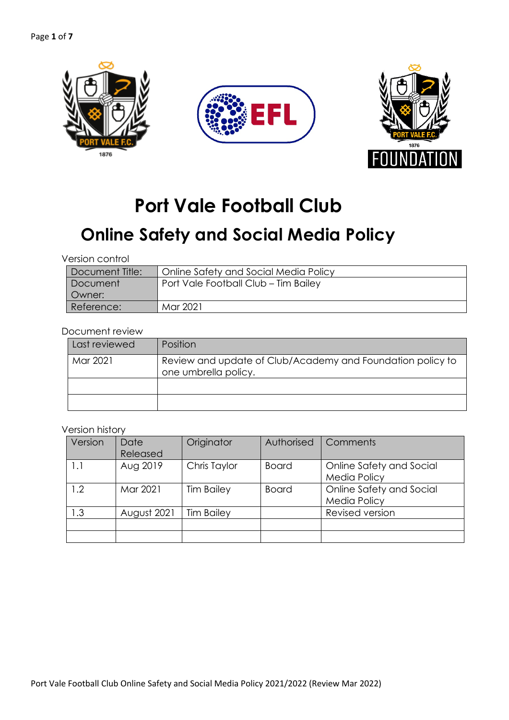

# **Port Vale Football Club**

## **Online Safety and Social Media Policy**

| Version control |
|-----------------|
|                 |

| Document Title: | Online Safety and Social Media Policy |
|-----------------|---------------------------------------|
| Document        | Port Vale Football Club - Tim Bailey  |
| Owner:          |                                       |
| Reference:      | Mar 2021                              |

#### Document review

| Last reviewed | <b>Position</b>                                                                    |
|---------------|------------------------------------------------------------------------------------|
| Mar 2021      | Review and update of Club/Academy and Foundation policy to<br>one umbrella policy. |
|               |                                                                                    |
|               |                                                                                    |

#### Version history

| Version | Date<br>Released | Originator        | Authorised | Comments                                        |
|---------|------------------|-------------------|------------|-------------------------------------------------|
| 1.1     | Aug 2019         | Chris Taylor      | Board      | Online Safety and Social<br><b>Media Policy</b> |
| 1.2     | Mar 2021         | <b>Tim Bailey</b> | Board      | Online Safety and Social<br><b>Media Policy</b> |
| 1.3     | August 2021      | <b>Tim Bailey</b> |            | Revised version                                 |
|         |                  |                   |            |                                                 |
|         |                  |                   |            |                                                 |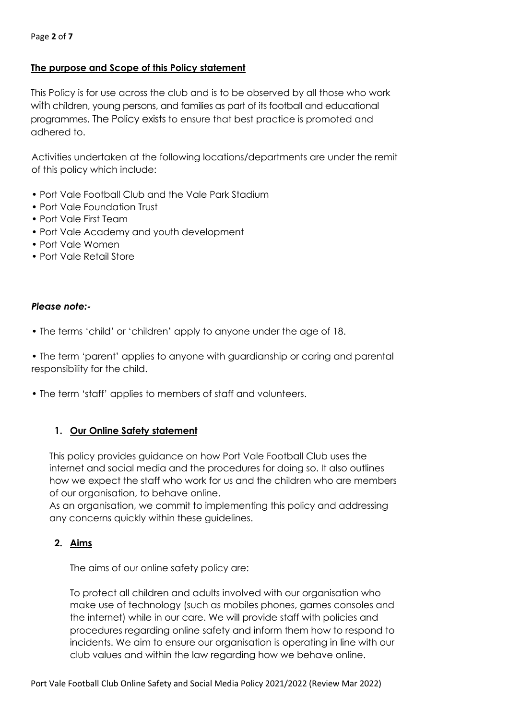## **The purpose and Scope of this Policy statement**

This Policy is for use across the club and is to be observed by all those who work with children, young persons, and families as part of its football and educational programmes. The Policy exists to ensure that best practice is promoted and adhered to.

Activities undertaken at the following locations/departments are under the remit of this policy which include:

- Port Vale Football Club and the Vale Park Stadium
- Port Vale Foundation Trust
- Port Vale First Team
- Port Vale Academy and youth development
- Port Vale Women
- Port Vale Retail Store

## *Please note:-*

• The terms 'child' or 'children' apply to anyone under the age of 18.

• The term 'parent' applies to anyone with guardianship or caring and parental responsibility for the child.

• The term 'staff' applies to members of staff and volunteers.

## **1. Our Online Safety statement**

This policy provides guidance on how Port Vale Football Club uses the internet and social media and the procedures for doing so. It also outlines how we expect the staff who work for us and the children who are members of our organisation, to behave online.

As an organisation, we commit to implementing this policy and addressing any concerns quickly within these guidelines.

## **2. Aims**

The aims of our online safety policy are:

To protect all children and adults involved with our organisation who make use of technology (such as mobiles phones, games consoles and the internet) while in our care. We will provide staff with policies and procedures regarding online safety and inform them how to respond to incidents. We aim to ensure our organisation is operating in line with our club values and within the law regarding how we behave online.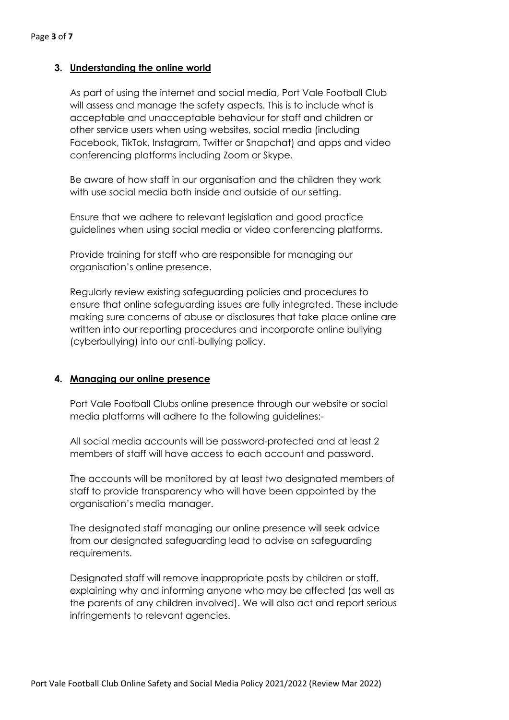## **3. Understanding the online world**

As part of using the internet and social media, Port Vale Football Club will assess and manage the safety aspects. This is to include what is acceptable and unacceptable behaviour for staff and children or other service users when using websites, social media (including Facebook, TikTok, Instagram, Twitter or Snapchat) and apps and video conferencing platforms including Zoom or Skype.

Be aware of how staff in our organisation and the children they work with use social media both inside and outside of our setting.

Ensure that we adhere to relevant legislation and good practice guidelines when using social media or video conferencing platforms.

Provide training for staff who are responsible for managing our organisation's online presence.

Regularly review existing safeguarding policies and procedures to ensure that online safeguarding issues are fully integrated. These include making sure concerns of abuse or disclosures that take place online are written into our reporting procedures and incorporate online bullying (cyberbullying) into our anti-bullying policy.

#### **4. Managing our online presence**

Port Vale Football Clubs online presence through our website or social media platforms will adhere to the following guidelines:-

All social media accounts will be password-protected and at least 2 members of staff will have access to each account and password.

The accounts will be monitored by at least two designated members of staff to provide transparency who will have been appointed by the organisation's media manager.

The designated staff managing our online presence will seek advice from our designated safeguarding lead to advise on safeguarding requirements.

Designated staff will remove inappropriate posts by children or staff, explaining why and informing anyone who may be affected (as well as the parents of any children involved). We will also act and report serious infringements to relevant agencies.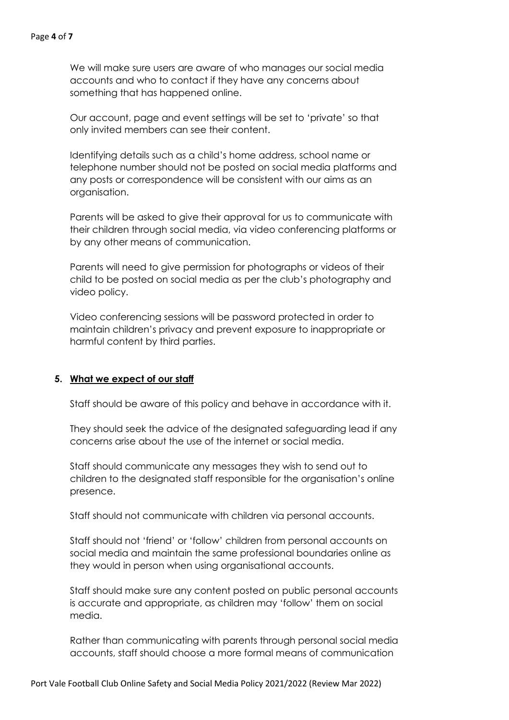We will make sure users are aware of who manages our social media accounts and who to contact if they have any concerns about something that has happened online.

Our account, page and event settings will be set to 'private' so that only invited members can see their content.

Identifying details such as a child's home address, school name or telephone number should not be posted on social media platforms and any posts or correspondence will be consistent with our aims as an organisation.

Parents will be asked to give their approval for us to communicate with their children through social media, via video conferencing platforms or by any other means of communication.

Parents will need to give permission for photographs or videos of their child to be posted on social media as per the club's photography and video policy.

Video conferencing sessions will be password protected in order to maintain children's privacy and prevent exposure to inappropriate or harmful content by third parties.

## **5. What we expect of our staff**

Staff should be aware of this policy and behave in accordance with it.

They should seek the advice of the designated safeguarding lead if any concerns arise about the use of the internet or social media.

Staff should communicate any messages they wish to send out to children to the designated staff responsible for the organisation's online presence.

Staff should not communicate with children via personal accounts.

Staff should not 'friend' or 'follow' children from personal accounts on social media and maintain the same professional boundaries online as they would in person when using organisational accounts.

Staff should make sure any content posted on public personal accounts is accurate and appropriate, as children may 'follow' them on social media.

Rather than communicating with parents through personal social media accounts, staff should choose a more formal means of communication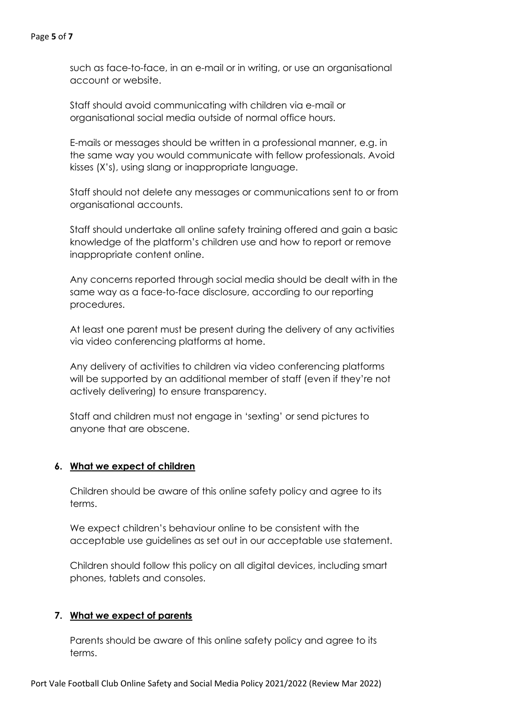#### Page **5** of **7**

such as face-to-face, in an e-mail or in writing, or use an organisational account or website.

Staff should avoid communicating with children via e-mail or organisational social media outside of normal office hours.

E-mails or messages should be written in a professional manner, e.g. in the same way you would communicate with fellow professionals. Avoid kisses (X's), using slang or inappropriate language.

Staff should not delete any messages or communications sent to or from organisational accounts.

Staff should undertake all online safety training offered and gain a basic knowledge of the platform's children use and how to report or remove inappropriate content online.

Any concerns reported through social media should be dealt with in the same way as a face-to-face disclosure, according to our reporting procedures.

At least one parent must be present during the delivery of any activities via video conferencing platforms at home.

Any delivery of activities to children via video conferencing platforms will be supported by an additional member of staff (even if they're not actively delivering) to ensure transparency.

Staff and children must not engage in 'sexting' or send pictures to anyone that are obscene.

## **6. What we expect of children**

Children should be aware of this online safety policy and agree to its terms.

We expect children's behaviour online to be consistent with the acceptable use guidelines as set out in our acceptable use statement.

Children should follow this policy on all digital devices, including smart phones, tablets and consoles.

## **7. What we expect of parents**

Parents should be aware of this online safety policy and agree to its terms.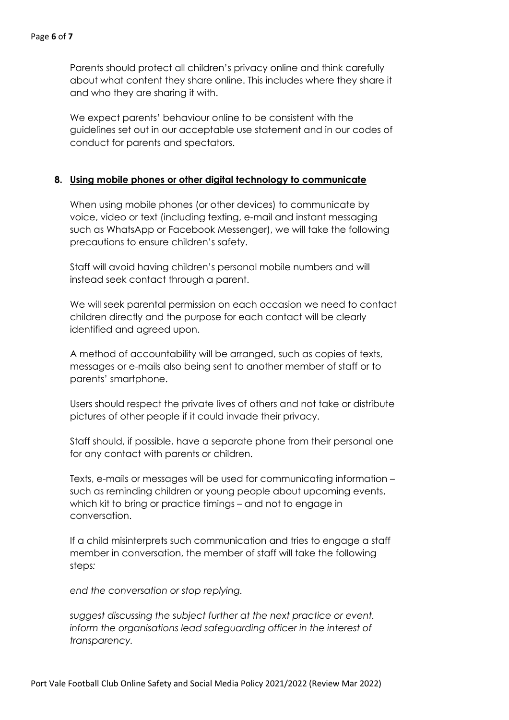Parents should protect all children's privacy online and think carefully about what content they share online. This includes where they share it and who they are sharing it with.

We expect parents' behaviour online to be consistent with the guidelines set out in our acceptable use statement and in our codes of conduct for parents and spectators.

#### **8. Using mobile phones or other digital technology to communicate**

When using mobile phones (or other devices) to communicate by voice, video or text (including texting, e-mail and instant messaging such as WhatsApp or Facebook Messenger), we will take the following precautions to ensure children's safety.

Staff will avoid having children's personal mobile numbers and will instead seek contact through a parent.

We will seek parental permission on each occasion we need to contact children directly and the purpose for each contact will be clearly identified and agreed upon.

A method of accountability will be arranged, such as copies of texts, messages or e-mails also being sent to another member of staff or to parents' smartphone.

Users should respect the private lives of others and not take or distribute pictures of other people if it could invade their privacy.

Staff should, if possible, have a separate phone from their personal one for any contact with parents or children.

Texts, e-mails or messages will be used for communicating information – such as reminding children or young people about upcoming events, which kit to bring or practice timings – and not to engage in conversation.

If a child misinterprets such communication and tries to engage a staff member in conversation, the member of staff will take the following steps*:*

*end the conversation or stop replying.*

*suggest discussing the subject further at the next practice or event. inform the organisations lead safeguarding officer in the interest of transparency.*